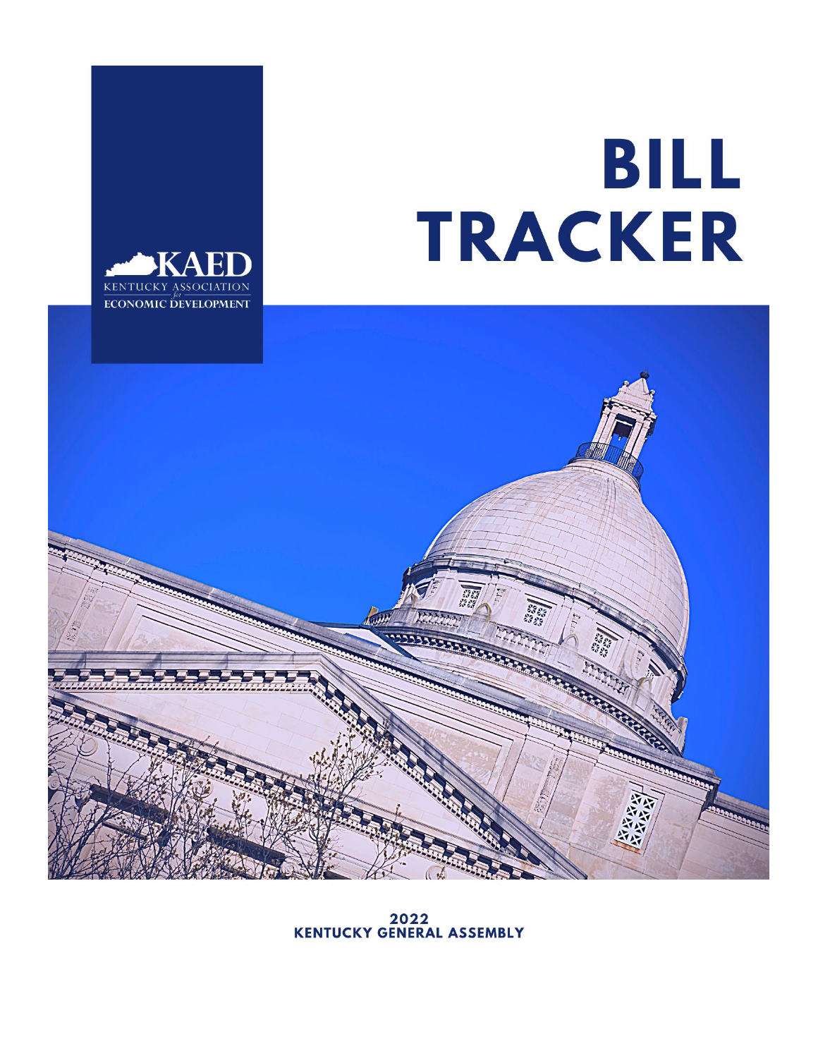## BILL TRACKER





2022<br>KENTUCKY GENERAL ASSEMBLY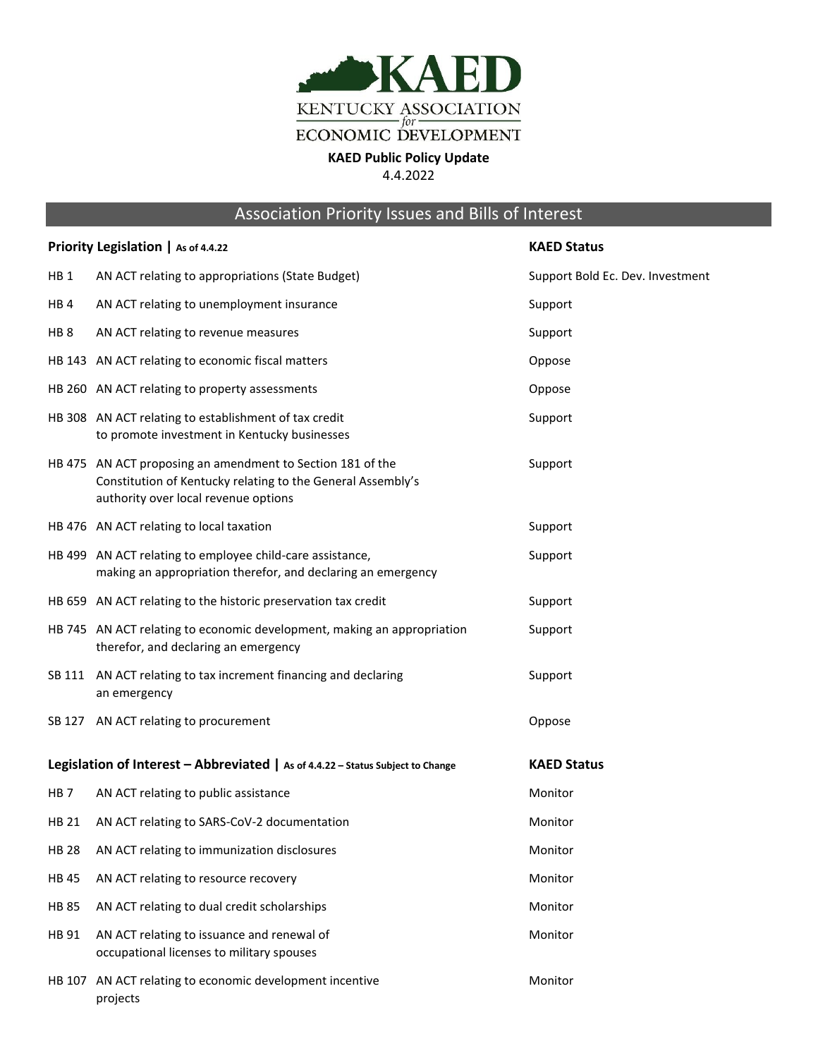

## Association Priority Issues and Bills of Interest

| Priority Legislation   As of 4.4.22 |                                                                                                                                                                   | <b>KAED Status</b>               |
|-------------------------------------|-------------------------------------------------------------------------------------------------------------------------------------------------------------------|----------------------------------|
| HB <sub>1</sub>                     | AN ACT relating to appropriations (State Budget)                                                                                                                  | Support Bold Ec. Dev. Investment |
| HB <sub>4</sub>                     | AN ACT relating to unemployment insurance                                                                                                                         | Support                          |
| HB <sub>8</sub>                     | AN ACT relating to revenue measures                                                                                                                               | Support                          |
|                                     | HB 143 AN ACT relating to economic fiscal matters                                                                                                                 | Oppose                           |
|                                     | HB 260 AN ACT relating to property assessments                                                                                                                    | Oppose                           |
|                                     | HB 308 AN ACT relating to establishment of tax credit<br>to promote investment in Kentucky businesses                                                             | Support                          |
|                                     | HB 475 AN ACT proposing an amendment to Section 181 of the<br>Constitution of Kentucky relating to the General Assembly's<br>authority over local revenue options | Support                          |
|                                     | HB 476 AN ACT relating to local taxation                                                                                                                          | Support                          |
|                                     | HB 499 AN ACT relating to employee child-care assistance,<br>making an appropriation therefor, and declaring an emergency                                         | Support                          |
|                                     | HB 659 AN ACT relating to the historic preservation tax credit                                                                                                    | Support                          |
|                                     | HB 745 AN ACT relating to economic development, making an appropriation<br>therefor, and declaring an emergency                                                   | Support                          |
|                                     | SB 111 AN ACT relating to tax increment financing and declaring<br>an emergency                                                                                   | Support                          |
|                                     | SB 127 AN ACT relating to procurement                                                                                                                             | Oppose                           |
|                                     | Legislation of Interest - Abbreviated $ $ As of 4.4.22 - Status Subject to Change                                                                                 | <b>KAED Status</b>               |
| HB <sub>7</sub>                     | AN ACT relating to public assistance                                                                                                                              | Monitor                          |
| HB 21                               | AN ACT relating to SARS-CoV-2 documentation                                                                                                                       | Monitor                          |
| <b>HB 28</b>                        | AN ACT relating to immunization disclosures                                                                                                                       | Monitor                          |
| <b>HB45</b>                         | AN ACT relating to resource recovery                                                                                                                              | Monitor                          |
| <b>HB 85</b>                        | AN ACT relating to dual credit scholarships                                                                                                                       | Monitor                          |
| HB 91                               | AN ACT relating to issuance and renewal of<br>occupational licenses to military spouses                                                                           | Monitor                          |
| HB 107                              | AN ACT relating to economic development incentive<br>projects                                                                                                     | Monitor                          |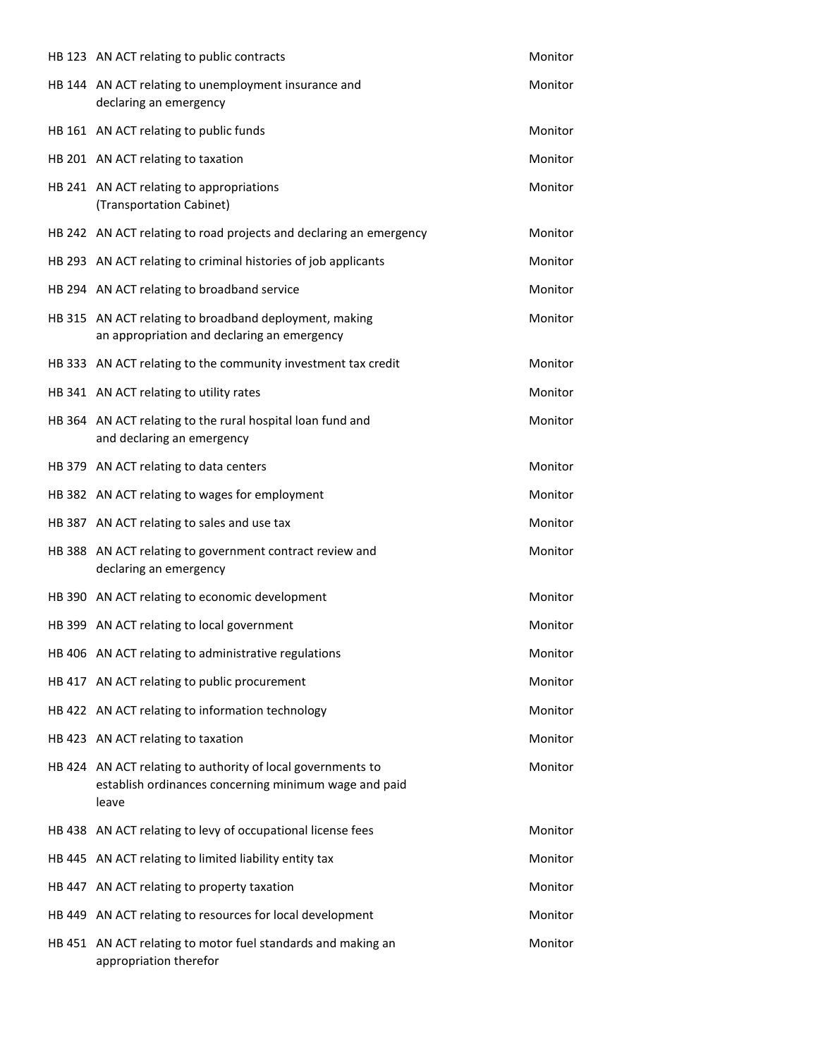| HB 123 AN ACT relating to public contracts                                                                                    | Monitor |
|-------------------------------------------------------------------------------------------------------------------------------|---------|
| HB 144 AN ACT relating to unemployment insurance and<br>declaring an emergency                                                | Monitor |
| HB 161 AN ACT relating to public funds                                                                                        | Monitor |
| HB 201 AN ACT relating to taxation                                                                                            | Monitor |
| HB 241 AN ACT relating to appropriations<br>(Transportation Cabinet)                                                          | Monitor |
| HB 242 AN ACT relating to road projects and declaring an emergency                                                            | Monitor |
| HB 293 AN ACT relating to criminal histories of job applicants                                                                | Monitor |
| HB 294 AN ACT relating to broadband service                                                                                   | Monitor |
| HB 315 AN ACT relating to broadband deployment, making<br>an appropriation and declaring an emergency                         | Monitor |
| HB 333 AN ACT relating to the community investment tax credit                                                                 | Monitor |
| HB 341 AN ACT relating to utility rates                                                                                       | Monitor |
| HB 364 AN ACT relating to the rural hospital loan fund and<br>and declaring an emergency                                      | Monitor |
| HB 379 AN ACT relating to data centers                                                                                        | Monitor |
| HB 382 AN ACT relating to wages for employment                                                                                | Monitor |
| HB 387 AN ACT relating to sales and use tax                                                                                   | Monitor |
| HB 388 AN ACT relating to government contract review and<br>declaring an emergency                                            | Monitor |
| HB 390 AN ACT relating to economic development                                                                                | Monitor |
| HB 399 AN ACT relating to local government                                                                                    | Monitor |
| HB 406 AN ACT relating to administrative regulations                                                                          | Monitor |
| HB 417 AN ACT relating to public procurement                                                                                  | Monitor |
| HB 422 AN ACT relating to information technology                                                                              | Monitor |
| HB 423 AN ACT relating to taxation                                                                                            | Monitor |
| HB 424 AN ACT relating to authority of local governments to<br>establish ordinances concerning minimum wage and paid<br>leave | Monitor |
| HB 438 AN ACT relating to levy of occupational license fees                                                                   | Monitor |
| HB 445 AN ACT relating to limited liability entity tax                                                                        | Monitor |
| HB 447 AN ACT relating to property taxation                                                                                   | Monitor |
| HB 449 AN ACT relating to resources for local development                                                                     | Monitor |
| HB 451 AN ACT relating to motor fuel standards and making an<br>appropriation therefor                                        | Monitor |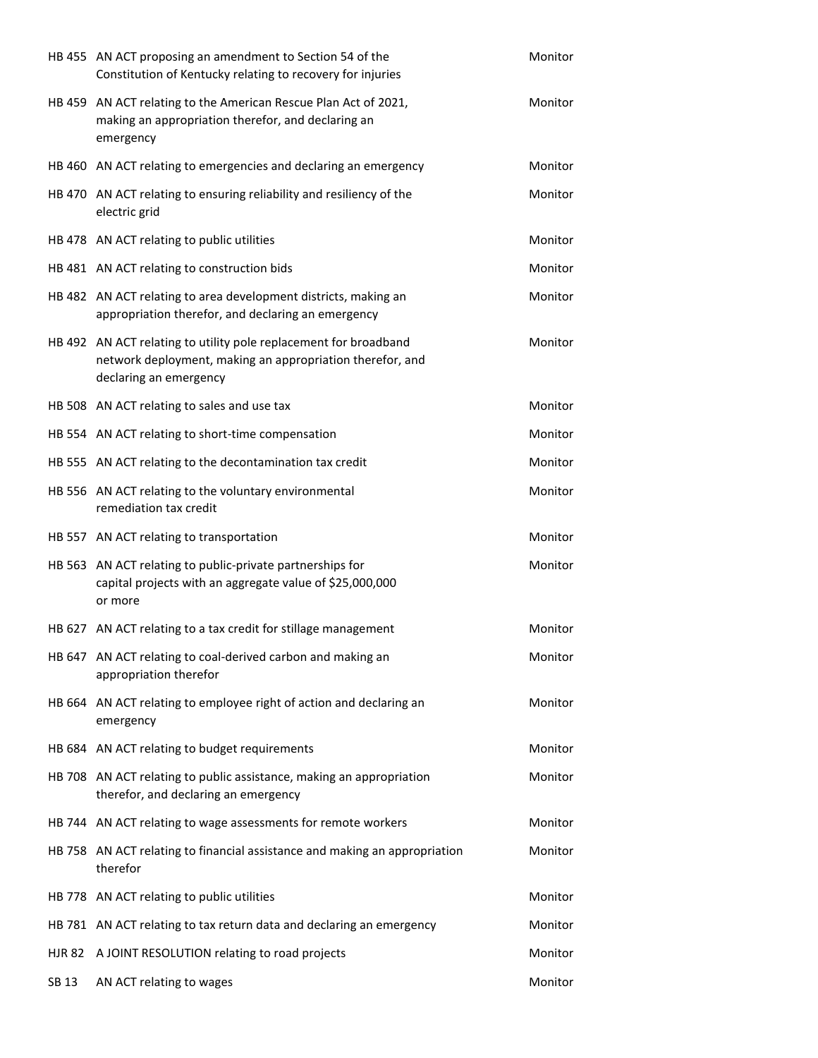|       | HB 455 AN ACT proposing an amendment to Section 54 of the<br>Constitution of Kentucky relating to recovery for injuries                                 | Monitor |
|-------|---------------------------------------------------------------------------------------------------------------------------------------------------------|---------|
|       | HB 459 AN ACT relating to the American Rescue Plan Act of 2021,<br>making an appropriation therefor, and declaring an<br>emergency                      | Monitor |
|       | HB 460 AN ACT relating to emergencies and declaring an emergency                                                                                        | Monitor |
|       | HB 470 AN ACT relating to ensuring reliability and resiliency of the<br>electric grid                                                                   | Monitor |
|       | HB 478 AN ACT relating to public utilities                                                                                                              | Monitor |
|       | HB 481 AN ACT relating to construction bids                                                                                                             | Monitor |
|       | HB 482 AN ACT relating to area development districts, making an<br>appropriation therefor, and declaring an emergency                                   | Monitor |
|       | HB 492 AN ACT relating to utility pole replacement for broadband<br>network deployment, making an appropriation therefor, and<br>declaring an emergency | Monitor |
|       | HB 508 AN ACT relating to sales and use tax                                                                                                             | Monitor |
|       | HB 554 AN ACT relating to short-time compensation                                                                                                       | Monitor |
|       | HB 555 AN ACT relating to the decontamination tax credit                                                                                                | Monitor |
|       | HB 556 AN ACT relating to the voluntary environmental<br>remediation tax credit                                                                         | Monitor |
|       | HB 557 AN ACT relating to transportation                                                                                                                | Monitor |
|       | HB 563 AN ACT relating to public-private partnerships for<br>capital projects with an aggregate value of \$25,000,000<br>or more                        | Monitor |
|       | HB 627 AN ACT relating to a tax credit for stillage management                                                                                          | Monitor |
|       | HB 647 AN ACT relating to coal-derived carbon and making an<br>appropriation therefor                                                                   | Monitor |
|       | HB 664 AN ACT relating to employee right of action and declaring an<br>emergency                                                                        | Monitor |
|       | HB 684 AN ACT relating to budget requirements                                                                                                           | Monitor |
|       | HB 708 AN ACT relating to public assistance, making an appropriation<br>therefor, and declaring an emergency                                            | Monitor |
|       | HB 744 AN ACT relating to wage assessments for remote workers                                                                                           | Monitor |
|       | HB 758 AN ACT relating to financial assistance and making an appropriation<br>therefor                                                                  | Monitor |
|       | HB 778 AN ACT relating to public utilities                                                                                                              | Monitor |
|       | HB 781 AN ACT relating to tax return data and declaring an emergency                                                                                    | Monitor |
|       | HJR 82 A JOINT RESOLUTION relating to road projects                                                                                                     | Monitor |
| SB 13 | AN ACT relating to wages                                                                                                                                | Monitor |